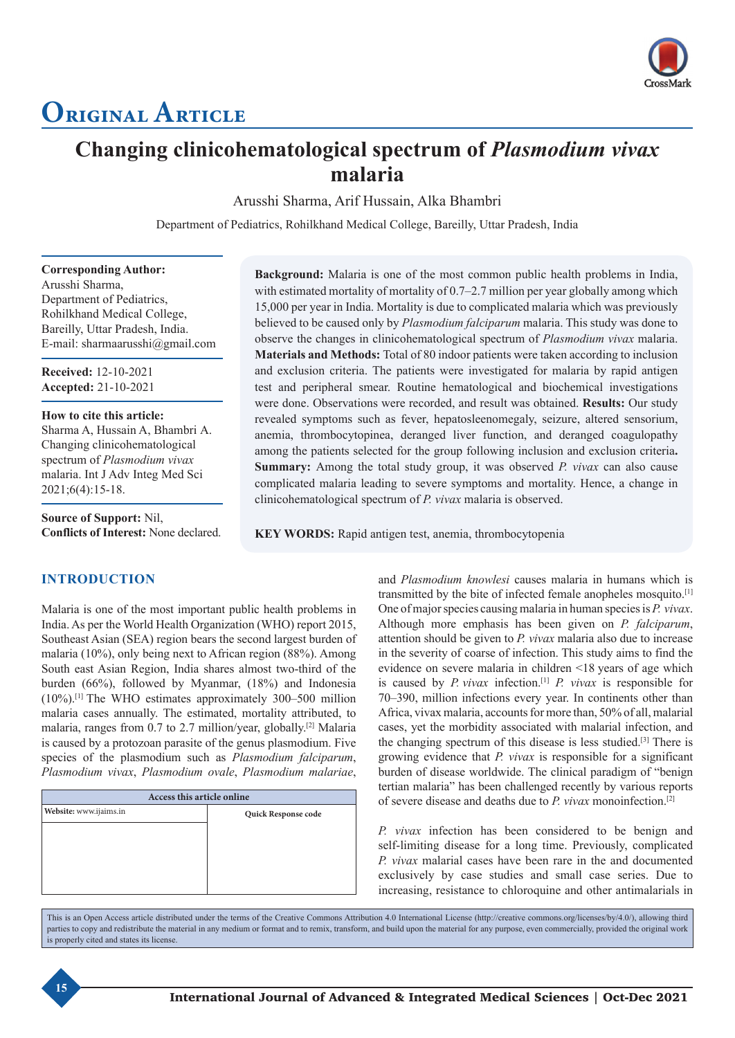

# **Original Article**

# **Changing clinicohematological spectrum of** *Plasmodium vivax* **malaria**

Arusshi Sharma, Arif Hussain, Alka Bhambri

Department of Pediatrics, Rohilkhand Medical College, Bareilly, Uttar Pradesh, India

**Corresponding Author:** Arusshi Sharma, Department of Pediatrics, Rohilkhand Medical College, Bareilly, Uttar Pradesh, India. E-mail: sharmaarusshi@gmail.com

**Received:** 12-10-2021 **Accepted:** 21-10-2021

**How to cite this article:** Sharma A, Hussain A, Bhambri A. Changing clinicohematological spectrum of *Plasmodium vivax* malaria. Int J Adv Integ Med Sci 2021;6(4):15-18.

**Source of Support:** Nil, **Conflicts of Interest:** None declared.

# **INTRODUCTION**

Malaria is one of the most important public health problems in India. As per the World Health Organization (WHO) report 2015, Southeast Asian (SEA) region bears the second largest burden of malaria (10%), only being next to African region (88%). Among South east Asian Region, India shares almost two-third of the burden (66%), followed by Myanmar, (18%) and Indonesia (10%).[1] The WHO estimates approximately 300–500 million malaria cases annually. The estimated, mortality attributed, to malaria, ranges from 0.7 to 2.7 million/year, globally.[2] Malaria is caused by a protozoan parasite of the genus plasmodium. Five species of the plasmodium such as *Plasmodium falciparum*, *Plasmodium vivax*, *Plasmodium ovale*, *Plasmodium malariae*,

| Access this article online |  |  |  |  |  |
|----------------------------|--|--|--|--|--|
| Quick Response code        |  |  |  |  |  |
|                            |  |  |  |  |  |
|                            |  |  |  |  |  |
|                            |  |  |  |  |  |
|                            |  |  |  |  |  |
|                            |  |  |  |  |  |
|                            |  |  |  |  |  |

**Background:** Malaria is one of the most common public health problems in India, with estimated mortality of mortality of 0.7–2.7 million per year globally among which 15,000 per year in India. Mortality is due to complicated malaria which was previously believed to be caused only by *Plasmodium falciparum* malaria. This study was done to observe the changes in clinicohematological spectrum of *Plasmodium vivax* malaria. **Materials and Methods:** Total of 80 indoor patients were taken according to inclusion and exclusion criteria. The patients were investigated for malaria by rapid antigen test and peripheral smear. Routine hematological and biochemical investigations were done. Observations were recorded, and result was obtained. **Results:** Our study revealed symptoms such as fever, hepatosleenomegaly, seizure, altered sensorium, anemia, thrombocytopinea, deranged liver function, and deranged coagulopathy among the patients selected for the group following inclusion and exclusion criteria**. Summary:** Among the total study group, it was observed *P. vivax* can also cause complicated malaria leading to severe symptoms and mortality. Hence, a change in clinicohematological spectrum of *P. vivax* malaria is observed.

**KEY WORDS:** Rapid antigen test, anemia, thrombocytopenia

and *Plasmodium knowlesi* causes malaria in humans which is transmitted by the bite of infected female anopheles mosquito.[1] One of major species causing malaria in human species is *P. vivax*. Although more emphasis has been given on *P. falciparum*, attention should be given to *P. vivax* malaria also due to increase in the severity of coarse of infection. This study aims to find the evidence on severe malaria in children <18 years of age which is caused by *P. vivax* infection.[1] *P. vivax* is responsible for 70–390, million infections every year. In continents other than Africa, vivax malaria, accounts for more than, 50% of all, malarial cases, yet the morbidity associated with malarial infection, and the changing spectrum of this disease is less studied.[3] There is growing evidence that *P. vivax* is responsible for a significant burden of disease worldwide. The clinical paradigm of "benign tertian malaria" has been challenged recently by various reports of severe disease and deaths due to *P. vivax* monoinfection.[2]

*P. vivax* infection has been considered to be benign and self-limiting disease for a long time. Previously, complicated *P. vivax* malarial cases have been rare in the and documented exclusively by case studies and small case series. Due to increasing, resistance to chloroquine and other antimalarials in

This is an Open Access article distributed under the terms of the Creative Commons Attribution 4.0 International License (http://creative commons.org/licenses/by/4.0/), allowing third parties to copy and redistribute the material in any medium or format and to remix, transform, and build upon the material for any purpose, even commercially, provided the original work is properly cited and states its license.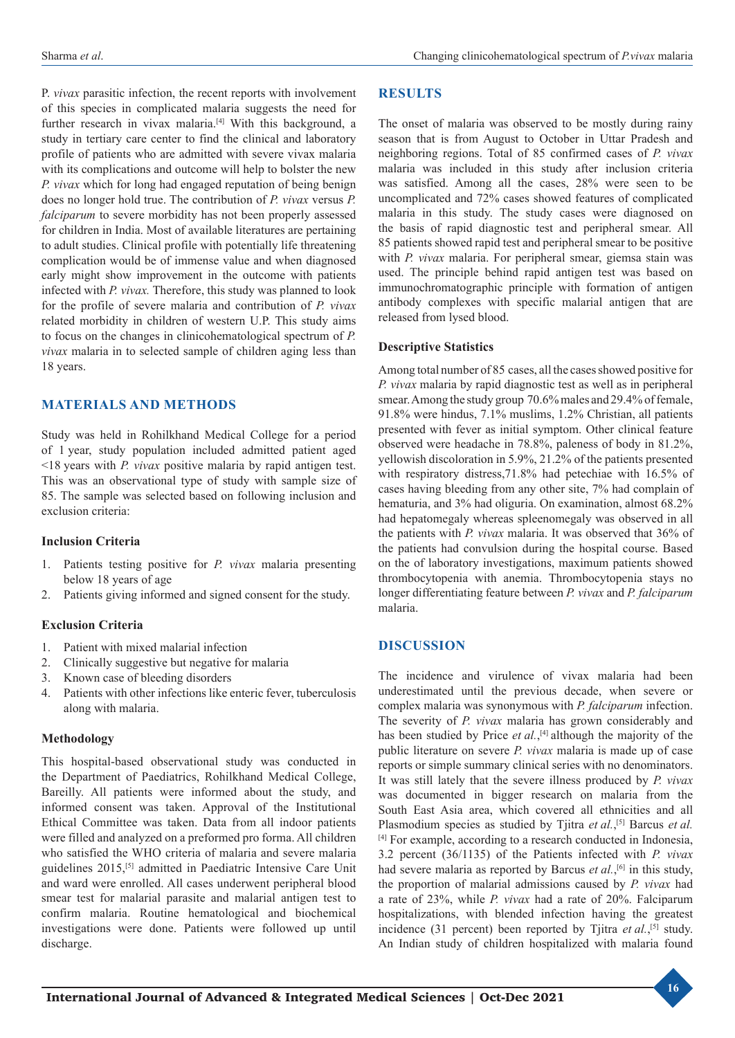P. *vivax* parasitic infection, the recent reports with involvement of this species in complicated malaria suggests the need for further research in vivax malaria.<sup>[4]</sup> With this background, a study in tertiary care center to find the clinical and laboratory profile of patients who are admitted with severe vivax malaria with its complications and outcome will help to bolster the new *P. vivax* which for long had engaged reputation of being benign does no longer hold true. The contribution of *P. vivax* versus *P. falciparum* to severe morbidity has not been properly assessed for children in India. Most of available literatures are pertaining to adult studies. Clinical profile with potentially life threatening complication would be of immense value and when diagnosed early might show improvement in the outcome with patients infected with *P. vivax.* Therefore, this study was planned to look for the profile of severe malaria and contribution of *P. vivax* related morbidity in children of western U.P. This study aims to focus on the changes in clinicohematological spectrum of *P. vivax* malaria in to selected sample of children aging less than 18 years.

# **MATERIALS AND METHODS**

Study was held in Rohilkhand Medical College for a period of 1 year, study population included admitted patient aged <18 years with *P. vivax* positive malaria by rapid antigen test. This was an observational type of study with sample size of 85. The sample was selected based on following inclusion and exclusion criteria:

#### **Inclusion Criteria**

- 1. Patients testing positive for *P. vivax* malaria presenting below 18 years of age
- 2. Patients giving informed and signed consent for the study.

# **Exclusion Criteria**

- 1. Patient with mixed malarial infection
- 2. Clinically suggestive but negative for malaria
- 3. Known case of bleeding disorders
- 4. Patients with other infections like enteric fever, tuberculosis along with malaria.

#### **Methodology**

This hospital-based observational study was conducted in the Department of Paediatrics, Rohilkhand Medical College, Bareilly. All patients were informed about the study, and informed consent was taken. Approval of the Institutional Ethical Committee was taken. Data from all indoor patients were filled and analyzed on a preformed pro forma. All children who satisfied the WHO criteria of malaria and severe malaria guidelines 2015,[5] admitted in Paediatric Intensive Care Unit and ward were enrolled. All cases underwent peripheral blood smear test for malarial parasite and malarial antigen test to confirm malaria. Routine hematological and biochemical investigations were done. Patients were followed up until discharge.

# **RESULTS**

The onset of malaria was observed to be mostly during rainy season that is from August to October in Uttar Pradesh and neighboring regions. Total of 85 confirmed cases of *P. vivax* malaria was included in this study after inclusion criteria was satisfied. Among all the cases, 28% were seen to be uncomplicated and 72% cases showed features of complicated malaria in this study. The study cases were diagnosed on the basis of rapid diagnostic test and peripheral smear. All 85 patients showed rapid test and peripheral smear to be positive with *P. vivax* malaria. For peripheral smear, giemsa stain was used. The principle behind rapid antigen test was based on immunochromatographic principle with formation of antigen antibody complexes with specific malarial antigen that are released from lysed blood.

#### **Descriptive Statistics**

Among total number of 85 cases, all the cases showed positive for *P. vivax* malaria by rapid diagnostic test as well as in peripheral smear. Among the study group 70.6% males and 29.4% of female, 91.8% were hindus, 7.1% muslims, 1.2% Christian, all patients presented with fever as initial symptom. Other clinical feature observed were headache in 78.8%, paleness of body in 81.2%, yellowish discoloration in 5.9%, 21.2% of the patients presented with respiratory distress,71.8% had petechiae with 16.5% of cases having bleeding from any other site, 7% had complain of hematuria, and 3% had oliguria. On examination, almost 68.2% had hepatomegaly whereas spleenomegaly was observed in all the patients with *P. vivax* malaria. It was observed that 36% of the patients had convulsion during the hospital course. Based on the of laboratory investigations, maximum patients showed thrombocytopenia with anemia. Thrombocytopenia stays no longer differentiating feature between *P. vivax* and *P. falciparum* malaria.

# **DISCUSSION**

The incidence and virulence of vivax malaria had been underestimated until the previous decade, when severe or complex malaria was synonymous with *P. falciparum* infection. The severity of *P. vivax* malaria has grown considerably and has been studied by Price *et al.*, [4] although the majority of the public literature on severe *P. vivax* malaria is made up of case reports or simple summary clinical series with no denominators. It was still lately that the severe illness produced by *P. vivax* was documented in bigger research on malaria from the South East Asia area, which covered all ethnicities and all Plasmodium species as studied by Tjitra *et al.*, [5] Barcus *et al.* [4] For example, according to a research conducted in Indonesia, 3.2 percent (36/1135) of the Patients infected with *P. vivax* had severe malaria as reported by Barcus *et al.*, [6] in this study, the proportion of malarial admissions caused by *P. vivax* had a rate of 23%, while *P. vivax* had a rate of 20%. Falciparum hospitalizations, with blended infection having the greatest incidence (31 percent) been reported by Tjitra *et al.*, [5] study. An Indian study of children hospitalized with malaria found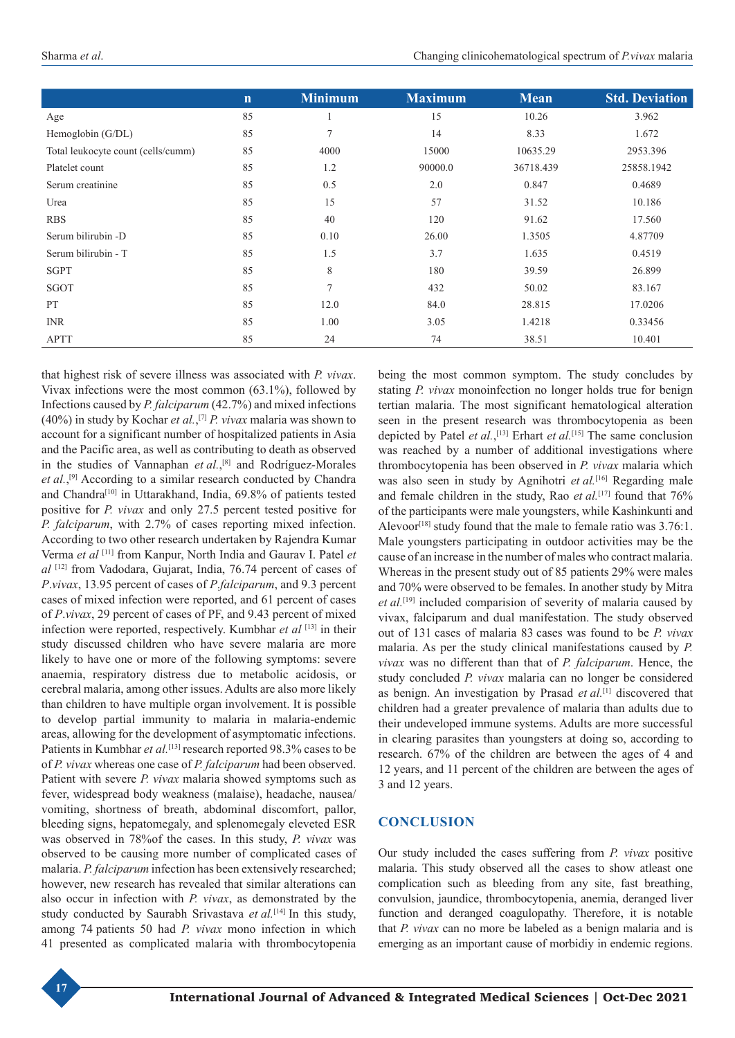|                                    | $\mathbf n$ | <b>Minimum</b> | <b>Maximum</b> | <b>Mean</b> | <b>Std. Deviation</b> |
|------------------------------------|-------------|----------------|----------------|-------------|-----------------------|
| Age                                | 85          |                | 15             | 10.26       | 3.962                 |
| Hemoglobin (G/DL)                  | 85          | 7              | 14             | 8.33        | 1.672                 |
| Total leukocyte count (cells/cumm) | 85          | 4000           | 15000          | 10635.29    | 2953.396              |
| Platelet count                     | 85          | 1.2            | 90000.0        | 36718.439   | 25858.1942            |
| Serum creatinine                   | 85          | 0.5            | 2.0            | 0.847       | 0.4689                |
| Urea                               | 85          | 15             | 57             | 31.52       | 10.186                |
| <b>RBS</b>                         | 85          | 40             | 120            | 91.62       | 17.560                |
| Serum bilirubin -D                 | 85          | 0.10           | 26.00          | 1.3505      | 4.87709               |
| Serum bilirubin - T                | 85          | 1.5            | 3.7            | 1.635       | 0.4519                |
| <b>SGPT</b>                        | 85          | 8              | 180            | 39.59       | 26.899                |
| SGOT                               | 85          | $\tau$         | 432            | 50.02       | 83.167                |
| <b>PT</b>                          | 85          | 12.0           | 84.0           | 28.815      | 17.0206               |
| <b>INR</b>                         | 85          | 1.00           | 3.05           | 1.4218      | 0.33456               |
| <b>APTT</b>                        | 85          | 24             | 74             | 38.51       | 10.401                |

that highest risk of severe illness was associated with *P. vivax*. Vivax infections were the most common (63.1%), followed by Infections caused by *P. falciparum* (42.7%) and mixed infections (40%) in study by Kochar *et al.*, [7] *P. vivax* malaria was shown to account for a significant number of hospitalized patients in Asia and the Pacific area, as well as contributing to death as observed in the studies of Vannaphan *et al.*, [8] and Rodríguez-Morales et al.,<sup>[9]</sup> According to a similar research conducted by Chandra and Chandra[10] in Uttarakhand, India, 69.8% of patients tested positive for *P. vivax* and only 27.5 percent tested positive for *P. falciparum*, with 2.7% of cases reporting mixed infection. According to two other research undertaken by Rajendra Kumar Verma *et al* [11] from Kanpur, North India and Gaurav I. Patel *et al* [12] from Vadodara, Gujarat, India, 76.74 percent of cases of *P*.*vivax*, 13.95 percent of cases of *P*.*falciparum*, and 9.3 percent cases of mixed infection were reported, and 61 percent of cases of *P*.*vivax*, 29 percent of cases of PF, and 9.43 percent of mixed infection were reported, respectively. Kumbhar *et al* [13] in their study discussed children who have severe malaria are more likely to have one or more of the following symptoms: severe anaemia, respiratory distress due to metabolic acidosis, or cerebral malaria, among other issues. Adults are also more likely than children to have multiple organ involvement. It is possible to develop partial immunity to malaria in malaria-endemic areas, allowing for the development of asymptomatic infections. Patients in Kumbhar *et al.*[13] research reported 98.3% cases to be of *P. vivax* whereas one case of *P. falciparum* had been observed. Patient with severe *P. vivax* malaria showed symptoms such as fever, widespread body weakness (malaise), headache, nausea/ vomiting, shortness of breath, abdominal discomfort, pallor, bleeding signs, hepatomegaly, and splenomegaly eleveted ESR was observed in 78%of the cases. In this study, *P. vivax* was observed to be causing more number of complicated cases of malaria. *P. falciparum* infection has been extensively researched; however, new research has revealed that similar alterations can also occur in infection with *P. vivax*, as demonstrated by the study conducted by Saurabh Srivastava *et al.*[14] In this study, among 74 patients 50 had *P. vivax* mono infection in which 41 presented as complicated malaria with thrombocytopenia

being the most common symptom. The study concludes by stating *P. vivax* monoinfection no longer holds true for benign tertian malaria. The most significant hematological alteration seen in the present research was thrombocytopenia as been depicted by Patel *et al.*, [13] Erhart *et al.*[15] The same conclusion was reached by a number of additional investigations where thrombocytopenia has been observed in *P. vivax* malaria which was also seen in study by Agnihotri *et al.*[16] Regarding male and female children in the study, Rao *et al.*[17] found that 76% of the participants were male youngsters, while Kashinkunti and Alevoor<sup>[18]</sup> study found that the male to female ratio was  $3.76:1$ . Male youngsters participating in outdoor activities may be the cause of an increase in the number of males who contract malaria. Whereas in the present study out of 85 patients 29% were males and 70% were observed to be females. In another study by Mitra *et al.*[19] included comparision of severity of malaria caused by vivax, falciparum and dual manifestation. The study observed out of 131 cases of malaria 83 cases was found to be *P. vivax* malaria. As per the study clinical manifestations caused by *P. vivax* was no different than that of *P. falciparum*. Hence, the study concluded *P. vivax* malaria can no longer be considered as benign. An investigation by Prasad *et al.*[1] discovered that children had a greater prevalence of malaria than adults due to their undeveloped immune systems. Adults are more successful in clearing parasites than youngsters at doing so, according to research. 67% of the children are between the ages of 4 and 12 years, and 11 percent of the children are between the ages of 3 and 12 years.

# **CONCLUSION**

Our study included the cases suffering from *P. vivax* positive malaria. This study observed all the cases to show atleast one complication such as bleeding from any site, fast breathing, convulsion, jaundice, thrombocytopenia, anemia, deranged liver function and deranged coagulopathy. Therefore, it is notable that *P. vivax* can no more be labeled as a benign malaria and is emerging as an important cause of morbidiy in endemic regions.